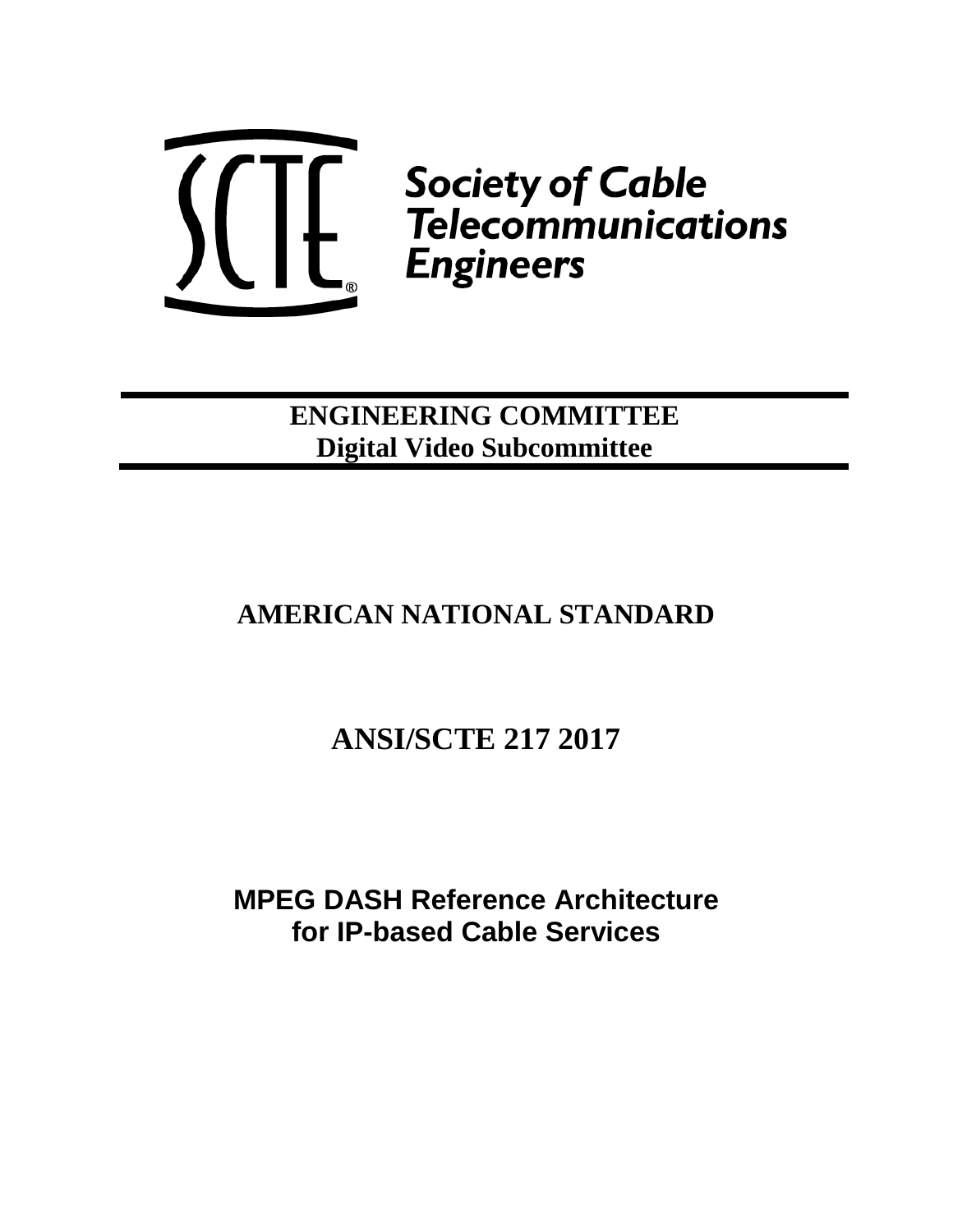

**ENGINEERING COMMITTEE Digital Video Subcommittee**

# **AMERICAN NATIONAL STANDARD**

# **ANSI/SCTE 217 2017**

**MPEG DASH Reference Architecture for IP-based Cable Services**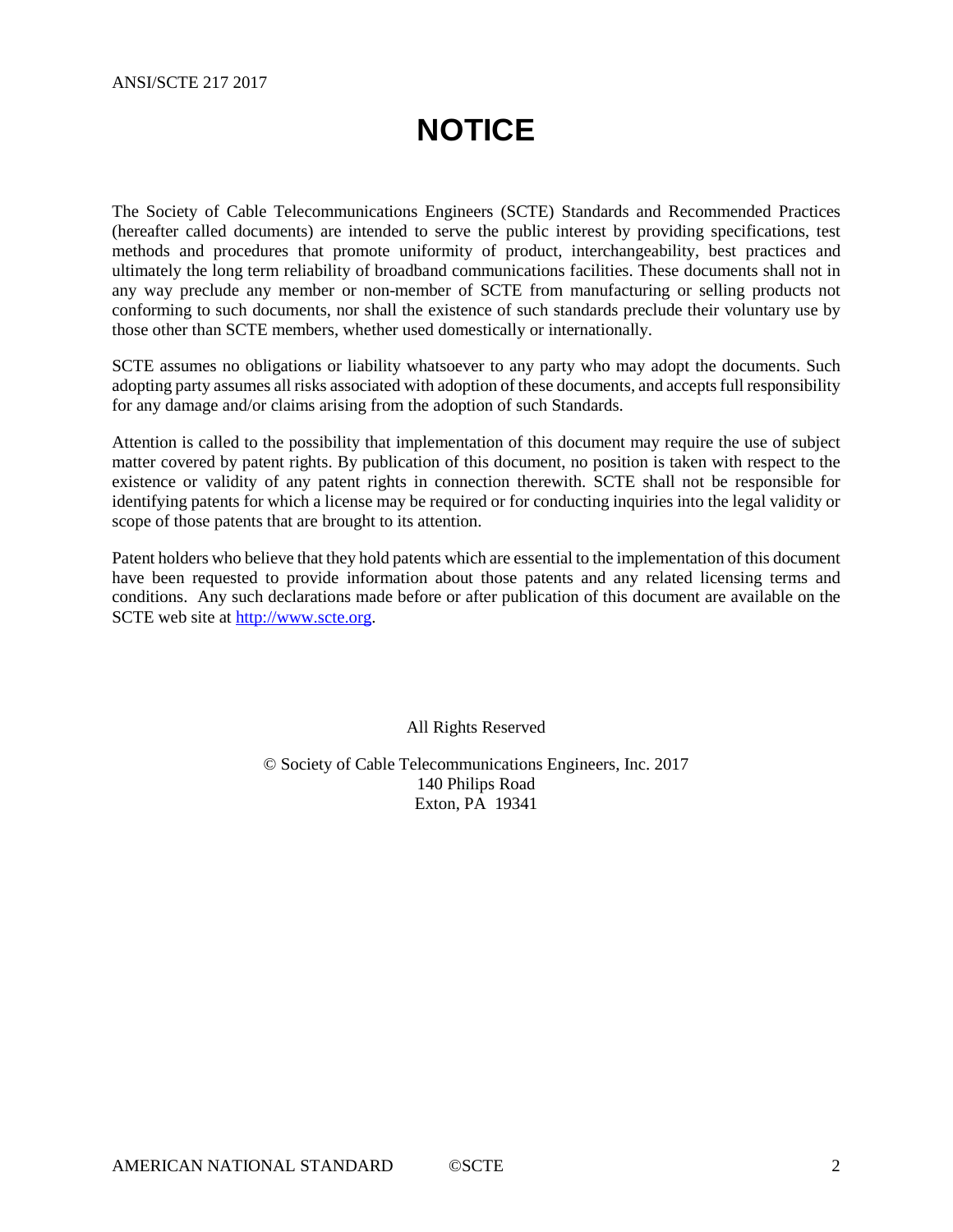# **NOTICE**

<span id="page-1-0"></span>The Society of Cable Telecommunications Engineers (SCTE) Standards and Recommended Practices (hereafter called documents) are intended to serve the public interest by providing specifications, test methods and procedures that promote uniformity of product, interchangeability, best practices and ultimately the long term reliability of broadband communications facilities. These documents shall not in any way preclude any member or non-member of SCTE from manufacturing or selling products not conforming to such documents, nor shall the existence of such standards preclude their voluntary use by those other than SCTE members, whether used domestically or internationally.

SCTE assumes no obligations or liability whatsoever to any party who may adopt the documents. Such adopting party assumes all risks associated with adoption of these documents, and accepts full responsibility for any damage and/or claims arising from the adoption of such Standards.

Attention is called to the possibility that implementation of this document may require the use of subject matter covered by patent rights. By publication of this document, no position is taken with respect to the existence or validity of any patent rights in connection therewith. SCTE shall not be responsible for identifying patents for which a license may be required or for conducting inquiries into the legal validity or scope of those patents that are brought to its attention.

Patent holders who believe that they hold patents which are essential to the implementation of this document have been requested to provide information about those patents and any related licensing terms and conditions. Any such declarations made before or after publication of this document are available on the SCTE web site at [http://www.scte.org.](http://www.scte.org/)

All Rights Reserved

© Society of Cable Telecommunications Engineers, Inc. 2017 140 Philips Road Exton, PA 19341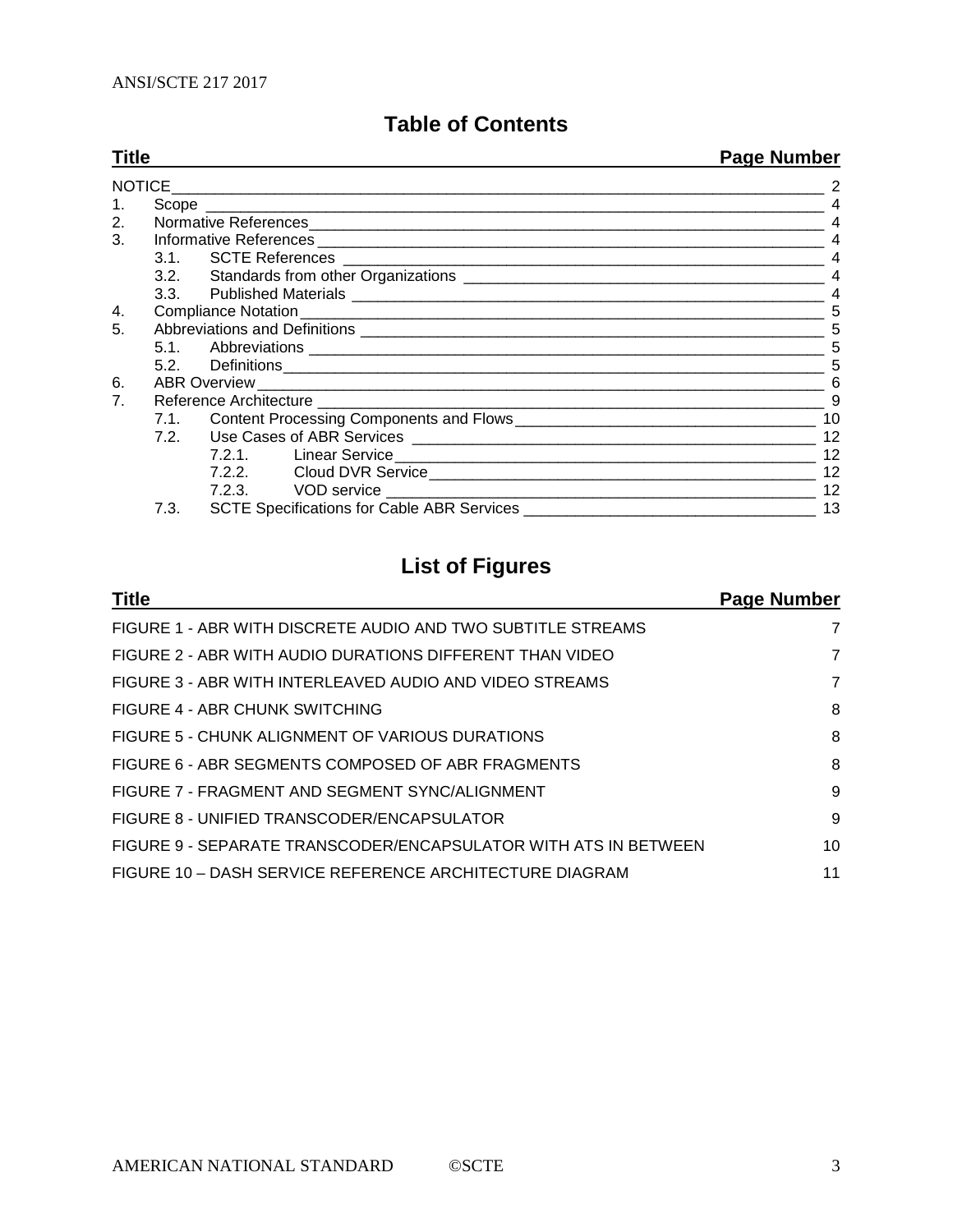## **Table of Contents**

| <b>Title</b>                   |      |  | <b>Page Number</b> |  |
|--------------------------------|------|--|--------------------|--|
| NOTICE                         |      |  |                    |  |
| $1_{\cdot}$                    |      |  |                    |  |
| 2.                             |      |  |                    |  |
| 3 <sub>1</sub>                 |      |  | $\overline{4}$     |  |
|                                |      |  |                    |  |
|                                |      |  | $\overline{4}$     |  |
|                                |      |  | $\overline{4}$     |  |
| 4.                             |      |  |                    |  |
| 5.                             |      |  | 5                  |  |
|                                |      |  | 5                  |  |
|                                |      |  | 5                  |  |
| 6.                             |      |  | 6                  |  |
| $7_{\scriptscriptstyle{\sim}}$ |      |  | 9                  |  |
|                                |      |  |                    |  |
|                                |      |  | 12                 |  |
|                                |      |  | 12                 |  |
|                                |      |  | 12                 |  |
|                                |      |  | 12                 |  |
|                                | 7.3. |  | 13                 |  |

## **List of Figures**

| <b>Title</b>                                                    | Page Number |
|-----------------------------------------------------------------|-------------|
| FIGURE 1 - ABR WITH DISCRETE AUDIO AND TWO SUBTITLE STREAMS     | 7           |
| FIGURE 2 - ABR WITH AUDIO DURATIONS DIFFERENT THAN VIDEO        | 7           |
| FIGURE 3 - ABR WITH INTERLEAVED AUDIO AND VIDEO STREAMS         | 7           |
| FIGURE 4 - ABR CHUNK SWITCHING                                  | 8           |
| FIGURE 5 - CHUNK ALIGNMENT OF VARIOUS DURATIONS                 | 8           |
| FIGURE 6 - ABR SEGMENTS COMPOSED OF ABR FRAGMENTS               | 8           |
| FIGURE 7 - FRAGMENT AND SEGMENT SYNC/ALIGNMENT                  | 9           |
| FIGURE 8 - UNIFIED TRANSCODER/ENCAPSULATOR                      | 9           |
| FIGURE 9 - SEPARATE TRANSCODER/ENCAPSULATOR WITH ATS IN BETWEEN | 10          |
| FIGURE 10 - DASH SERVICE REFERENCE ARCHITECTURE DIAGRAM         | 11          |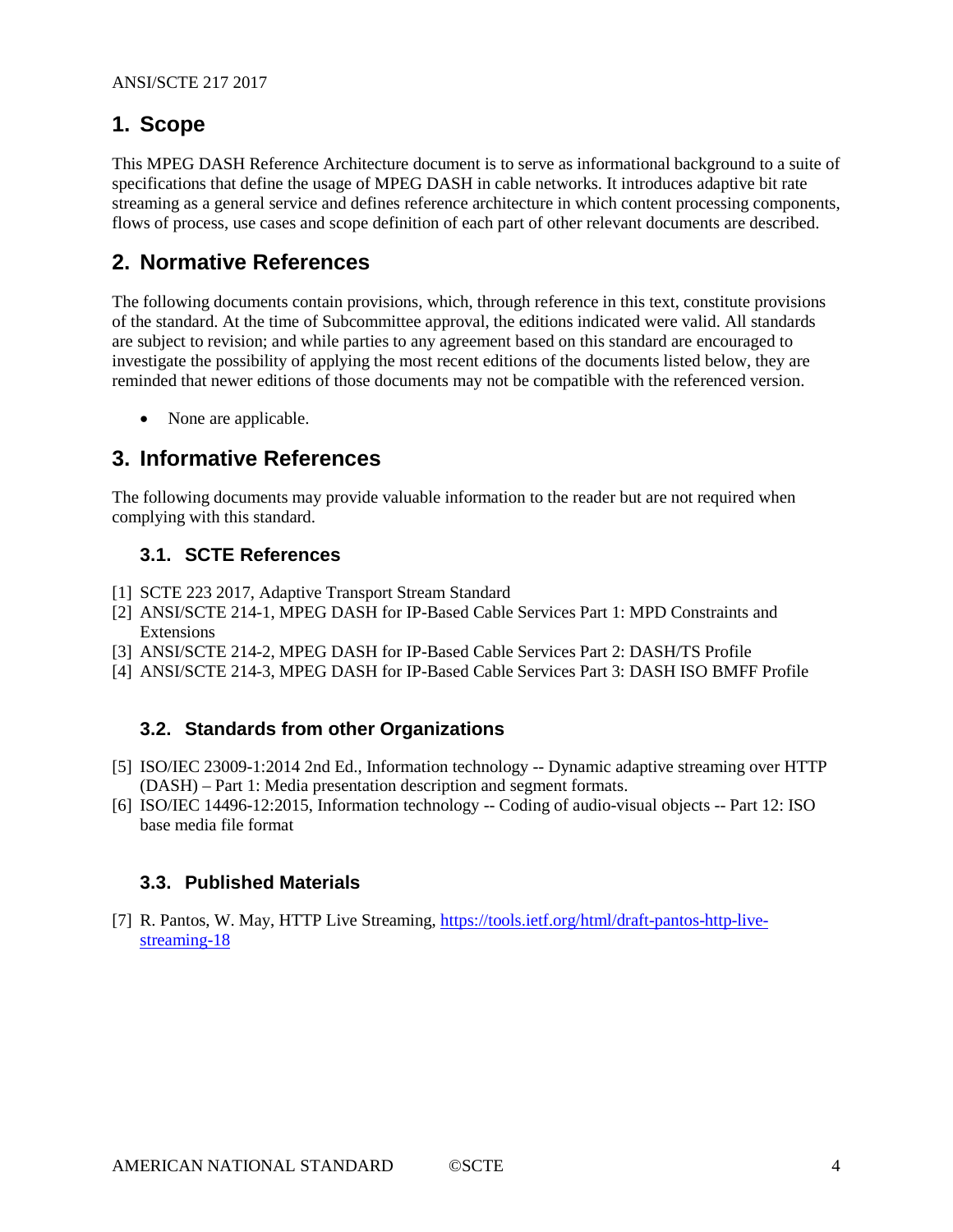## <span id="page-3-0"></span>**1. Scope**

This MPEG DASH Reference Architecture document is to serve as informational background to a suite of specifications that define the usage of MPEG DASH in cable networks. It introduces adaptive bit rate streaming as a general service and defines reference architecture in which content processing components, flows of process, use cases and scope definition of each part of other relevant documents are described.

## <span id="page-3-1"></span>**2. Normative References**

The following documents contain provisions, which, through reference in this text, constitute provisions of the standard. At the time of Subcommittee approval, the editions indicated were valid. All standards are subject to revision; and while parties to any agreement based on this standard are encouraged to investigate the possibility of applying the most recent editions of the documents listed below, they are reminded that newer editions of those documents may not be compatible with the referenced version.

• None are applicable.

## <span id="page-3-2"></span>**3. Informative References**

The following documents may provide valuable information to the reader but are not required when complying with this standard.

### <span id="page-3-3"></span>**3.1. SCTE References**

- <span id="page-3-8"></span>[1] SCTE 223 2017, Adaptive Transport Stream Standard
- <span id="page-3-9"></span>[2] ANSI/SCTE 214-1, MPEG DASH for IP-Based Cable Services Part 1: MPD Constraints and Extensions
- <span id="page-3-10"></span>[3] ANSI/SCTE 214-2, MPEG DASH for IP-Based Cable Services Part 2: DASH/TS Profile
- <span id="page-3-11"></span>[4] ANSI/SCTE 214-3, MPEG DASH for IP-Based Cable Services Part 3: DASH ISO BMFF Profile

## <span id="page-3-4"></span>**3.2. Standards from other Organizations**

- <span id="page-3-7"></span>[5] ISO/IEC 23009-1:2014 2nd Ed., Information technology -- Dynamic adaptive streaming over HTTP (DASH) – Part 1: Media presentation description and segment formats.
- <span id="page-3-6"></span>[6] ISO/IEC 14496-12:2015, Information technology -- Coding of audio-visual objects -- Part 12: ISO base media file format

#### <span id="page-3-5"></span>**3.3. Published Materials**

[7] R. Pantos, W. May, HTTP Live Streaming, [https://tools.ietf.org/html/draft-pantos-http-live](https://tools.ietf.org/html/draft-pantos-http-live-streaming-18)[streaming-18](https://tools.ietf.org/html/draft-pantos-http-live-streaming-18)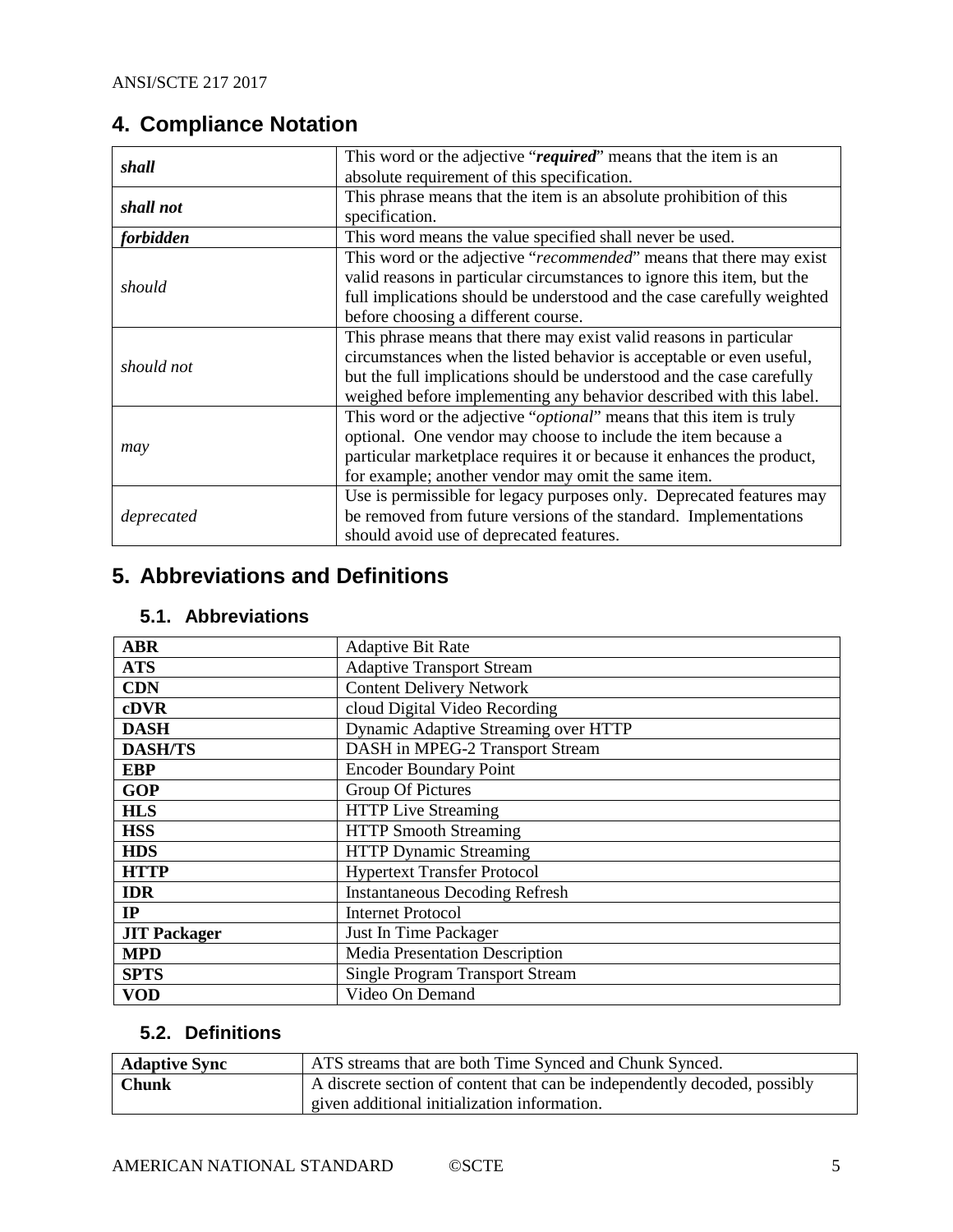## <span id="page-4-0"></span>**4. Compliance Notation**

| shall      | This word or the adjective "required" means that the item is an              |  |  |
|------------|------------------------------------------------------------------------------|--|--|
|            | absolute requirement of this specification.                                  |  |  |
| shall not  | This phrase means that the item is an absolute prohibition of this           |  |  |
|            | specification.                                                               |  |  |
| forbidden  | This word means the value specified shall never be used.                     |  |  |
|            | This word or the adjective "recommended" means that there may exist          |  |  |
| should     | valid reasons in particular circumstances to ignore this item, but the       |  |  |
|            | full implications should be understood and the case carefully weighted       |  |  |
|            | before choosing a different course.                                          |  |  |
|            | This phrase means that there may exist valid reasons in particular           |  |  |
| should not | circumstances when the listed behavior is acceptable or even useful,         |  |  |
|            | but the full implications should be understood and the case carefully        |  |  |
|            | weighed before implementing any behavior described with this label.          |  |  |
|            | This word or the adjective " <i>optional</i> " means that this item is truly |  |  |
|            | optional. One vendor may choose to include the item because a                |  |  |
| may        | particular marketplace requires it or because it enhances the product,       |  |  |
|            | for example; another vendor may omit the same item.                          |  |  |
|            | Use is permissible for legacy purposes only. Deprecated features may         |  |  |
| deprecated | be removed from future versions of the standard. Implementations             |  |  |
|            | should avoid use of deprecated features.                                     |  |  |

## <span id="page-4-1"></span>**5. Abbreviations and Definitions**

## <span id="page-4-2"></span>**5.1. Abbreviations**

| <b>ABR</b>          | <b>Adaptive Bit Rate</b>               |  |  |
|---------------------|----------------------------------------|--|--|
| <b>ATS</b>          | <b>Adaptive Transport Stream</b>       |  |  |
| <b>CDN</b>          | <b>Content Delivery Network</b>        |  |  |
| cDVR                | cloud Digital Video Recording          |  |  |
| <b>DASH</b>         | Dynamic Adaptive Streaming over HTTP   |  |  |
| <b>DASH/TS</b>      | DASH in MPEG-2 Transport Stream        |  |  |
| <b>EBP</b>          | <b>Encoder Boundary Point</b>          |  |  |
| <b>GOP</b>          | Group Of Pictures                      |  |  |
| <b>HLS</b>          | <b>HTTP Live Streaming</b>             |  |  |
| <b>HSS</b>          | <b>HTTP Smooth Streaming</b>           |  |  |
| <b>HDS</b>          | <b>HTTP Dynamic Streaming</b>          |  |  |
| <b>HTTP</b>         | <b>Hypertext Transfer Protocol</b>     |  |  |
| <b>IDR</b>          | <b>Instantaneous Decoding Refresh</b>  |  |  |
| IP                  | <b>Internet Protocol</b>               |  |  |
| <b>JIT Packager</b> | Just In Time Packager                  |  |  |
| <b>MPD</b>          | Media Presentation Description         |  |  |
| <b>SPTS</b>         | <b>Single Program Transport Stream</b> |  |  |
| <b>VOD</b>          | Video On Demand                        |  |  |

## <span id="page-4-3"></span>**5.2. Definitions**

| <b>Adaptive Sync</b> | ATS streams that are both Time Synced and Chunk Synced.                   |
|----------------------|---------------------------------------------------------------------------|
| <b>Chunk</b>         | A discrete section of content that can be independently decoded, possibly |
|                      | given additional initialization information.                              |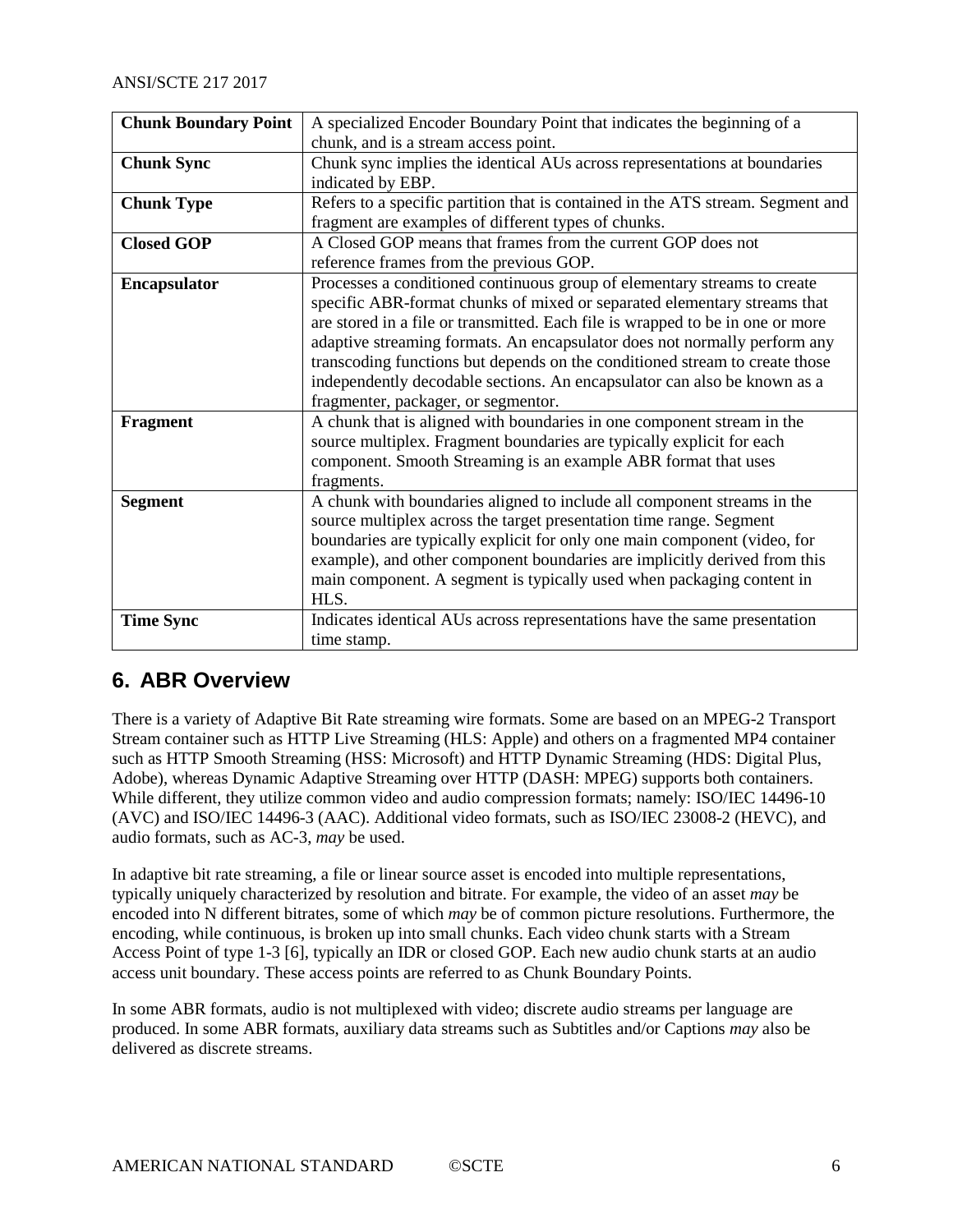| <b>Chunk Boundary Point</b> | A specialized Encoder Boundary Point that indicates the beginning of a          |  |  |
|-----------------------------|---------------------------------------------------------------------------------|--|--|
|                             | chunk, and is a stream access point.                                            |  |  |
| <b>Chunk Sync</b>           | Chunk sync implies the identical AUs across representations at boundaries       |  |  |
|                             | indicated by EBP.                                                               |  |  |
| <b>Chunk Type</b>           | Refers to a specific partition that is contained in the ATS stream. Segment and |  |  |
|                             | fragment are examples of different types of chunks.                             |  |  |
| <b>Closed GOP</b>           | A Closed GOP means that frames from the current GOP does not                    |  |  |
|                             | reference frames from the previous GOP.                                         |  |  |
| <b>Encapsulator</b>         | Processes a conditioned continuous group of elementary streams to create        |  |  |
|                             | specific ABR-format chunks of mixed or separated elementary streams that        |  |  |
|                             | are stored in a file or transmitted. Each file is wrapped to be in one or more  |  |  |
|                             | adaptive streaming formats. An encapsulator does not normally perform any       |  |  |
|                             | transcoding functions but depends on the conditioned stream to create those     |  |  |
|                             | independently decodable sections. An encapsulator can also be known as a        |  |  |
|                             | fragmenter, packager, or segmentor.                                             |  |  |
| Fragment                    | A chunk that is aligned with boundaries in one component stream in the          |  |  |
|                             | source multiplex. Fragment boundaries are typically explicit for each           |  |  |
|                             | component. Smooth Streaming is an example ABR format that uses                  |  |  |
|                             | fragments.                                                                      |  |  |
| <b>Segment</b>              | A chunk with boundaries aligned to include all component streams in the         |  |  |
|                             | source multiplex across the target presentation time range. Segment             |  |  |
|                             | boundaries are typically explicit for only one main component (video, for       |  |  |
|                             | example), and other component boundaries are implicitly derived from this       |  |  |
|                             | main component. A segment is typically used when packaging content in           |  |  |
|                             | HLS.                                                                            |  |  |
| <b>Time Sync</b>            | Indicates identical AUs across representations have the same presentation       |  |  |
|                             | time stamp.                                                                     |  |  |

## <span id="page-5-0"></span>**6. ABR Overview**

There is a variety of Adaptive Bit Rate streaming wire formats. Some are based on an MPEG-2 Transport Stream container such as HTTP Live Streaming (HLS: Apple) and others on a fragmented MP4 container such as HTTP Smooth Streaming (HSS: Microsoft) and HTTP Dynamic Streaming (HDS: Digital Plus, Adobe), whereas Dynamic Adaptive Streaming over HTTP (DASH: MPEG) supports both containers. While different, they utilize common video and audio compression formats; namely: ISO/IEC 14496-10 (AVC) and ISO/IEC 14496-3 (AAC). Additional video formats, such as ISO/IEC 23008-2 (HEVC), and audio formats, such as AC-3, *may* be used.

In adaptive bit rate streaming, a file or linear source asset is encoded into multiple representations, typically uniquely characterized by resolution and bitrate. For example, the video of an asset *may* be encoded into N different bitrates, some of which *may* be of common picture resolutions. Furthermore, the encoding, while continuous, is broken up into small chunks. Each video chunk starts with a Stream Access Point of type 1-3 [\[6\],](#page-3-6) typically an IDR or closed GOP. Each new audio chunk starts at an audio access unit boundary. These access points are referred to as Chunk Boundary Points.

In some ABR formats, audio is not multiplexed with video; discrete audio streams per language are produced. In some ABR formats, auxiliary data streams such as Subtitles and/or Captions *may* also be delivered as discrete streams.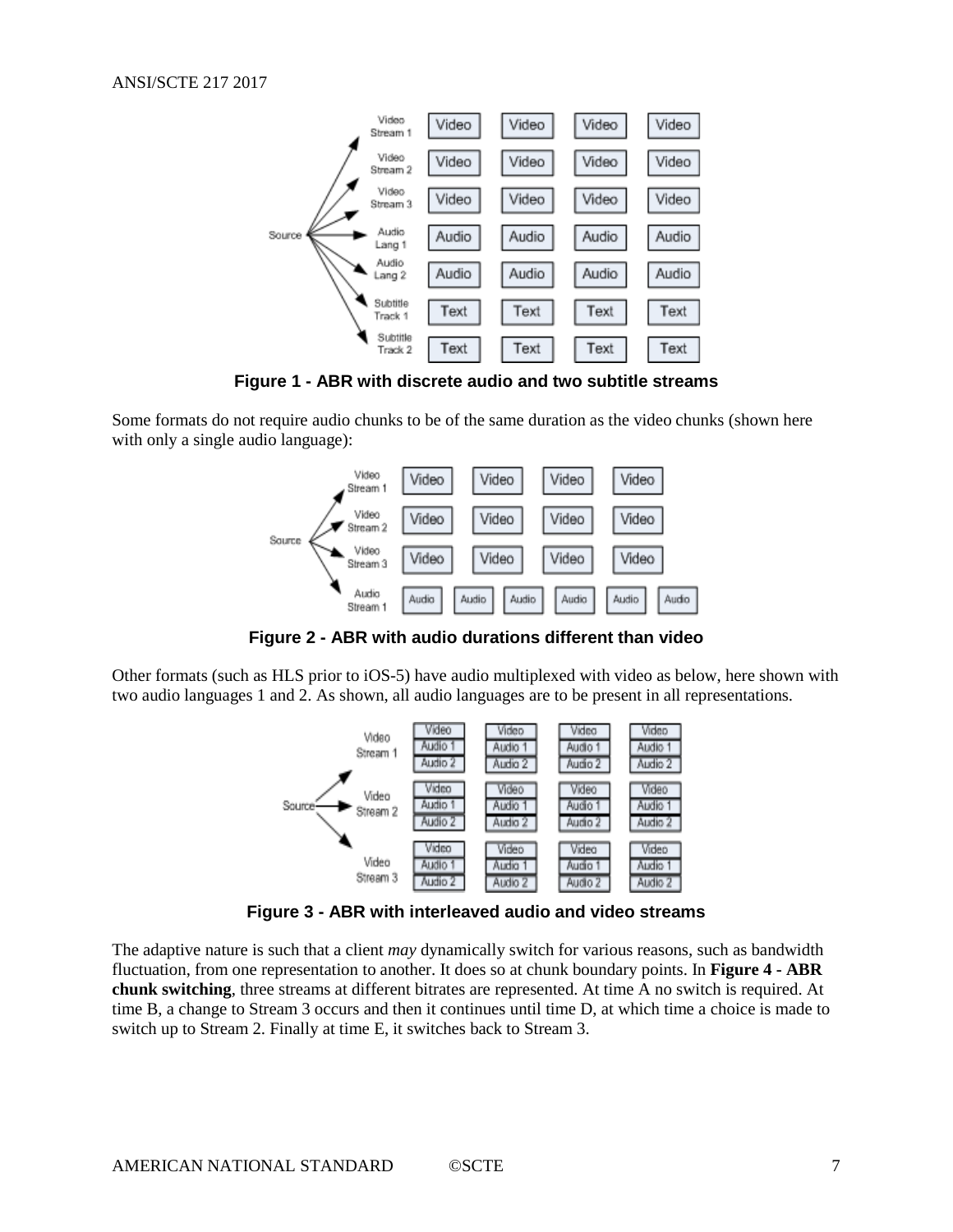

**Figure 1 - ABR with discrete audio and two subtitle streams**

<span id="page-6-0"></span>Some formats do not require audio chunks to be of the same duration as the video chunks (shown here with only a single audio language):



**Figure 2 - ABR with audio durations different than video**

<span id="page-6-1"></span>Other formats (such as HLS prior to iOS-5) have audio multiplexed with video as below, here shown with two audio languages 1 and 2. As shown, all audio languages are to be present in all representations.



**Figure 3 - ABR with interleaved audio and video streams**

<span id="page-6-2"></span>The adaptive nature is such that a client *may* dynamically switch for various reasons, such as bandwidth fluctuation, from one representation to another. It does so at chunk boundary points. In **[Figure 4](#page-7-0) - ABR [chunk switching](#page-7-0)**, three streams at different bitrates are represented. At time A no switch is required. At time B, a change to Stream 3 occurs and then it continues until time D, at which time a choice is made to switch up to Stream 2. Finally at time E, it switches back to Stream 3.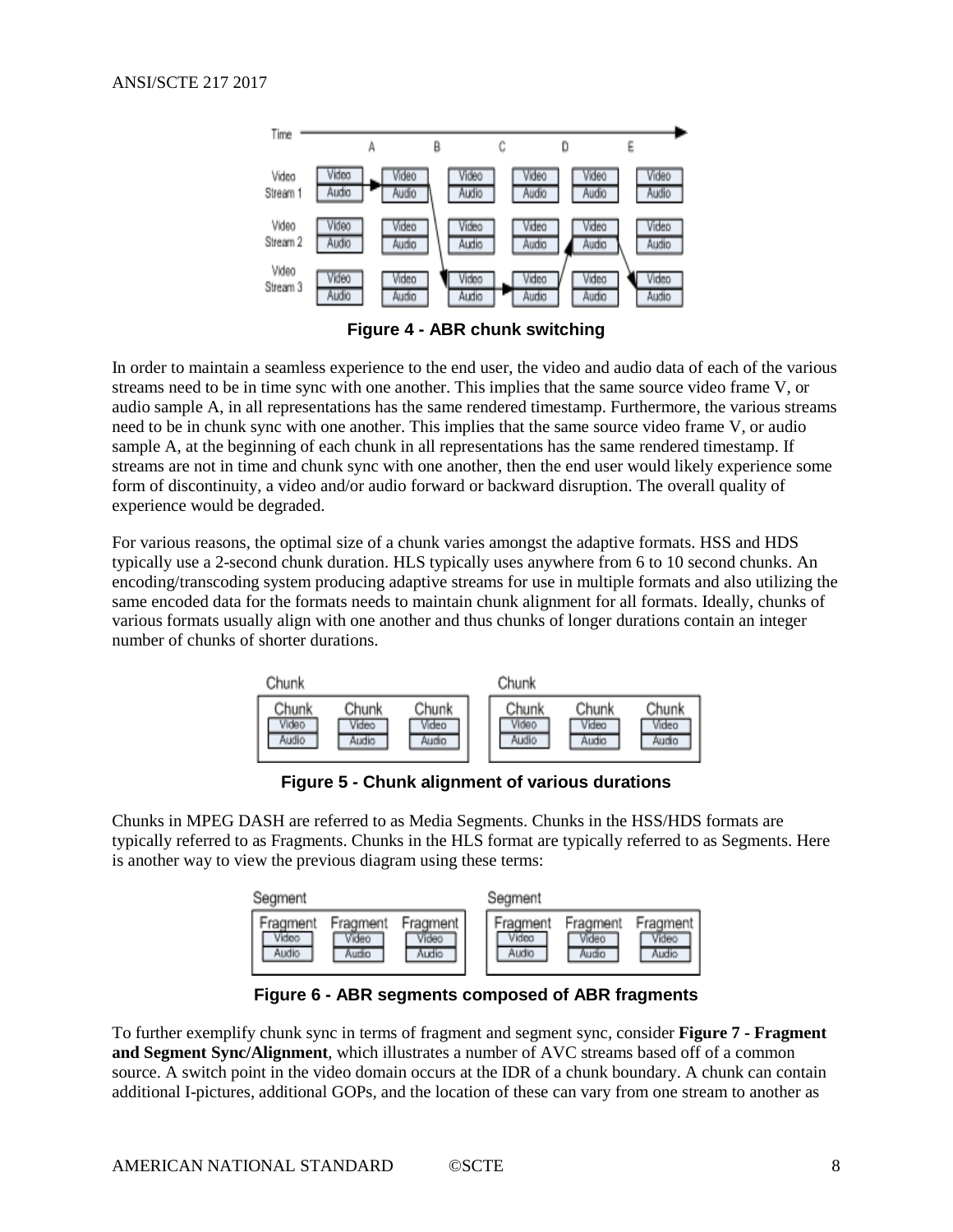

**Figure 4 - ABR chunk switching**

<span id="page-7-0"></span>In order to maintain a seamless experience to the end user, the video and audio data of each of the various streams need to be in time sync with one another. This implies that the same source video frame V, or audio sample A, in all representations has the same rendered timestamp. Furthermore, the various streams need to be in chunk sync with one another. This implies that the same source video frame V, or audio sample A, at the beginning of each chunk in all representations has the same rendered timestamp. If streams are not in time and chunk sync with one another, then the end user would likely experience some form of discontinuity, a video and/or audio forward or backward disruption. The overall quality of experience would be degraded.

For various reasons, the optimal size of a chunk varies amongst the adaptive formats. HSS and HDS typically use a 2-second chunk duration. HLS typically uses anywhere from 6 to 10 second chunks. An encoding/transcoding system producing adaptive streams for use in multiple formats and also utilizing the same encoded data for the formats needs to maintain chunk alignment for all formats. Ideally, chunks of various formats usually align with one another and thus chunks of longer durations contain an integer number of chunks of shorter durations.



**Figure 5 - Chunk alignment of various durations**

<span id="page-7-1"></span>Chunks in MPEG DASH are referred to as Media Segments. Chunks in the HSS/HDS formats are typically referred to as Fragments. Chunks in the HLS format are typically referred to as Segments. Here is another way to view the previous diagram using these terms:

| Segment                                                  |                            | Segment                    |                            |                            |  |
|----------------------------------------------------------|----------------------------|----------------------------|----------------------------|----------------------------|--|
| Fragment<br>Fragment<br>Video<br>Video<br>Audio<br>Audio | Fragment<br>Video<br>Audio | Fragment<br>Videa<br>Audio | Fragment<br>Video<br>Audio | Fragment<br>Video<br>Audio |  |

**Figure 6 - ABR segments composed of ABR fragments**

<span id="page-7-2"></span>To further exemplify chunk sync in terms of fragment and segment sync, consider **Figure 7 - [Fragment](#page-8-1)  [and Segment Sync/Alignment](#page-8-1)**, which illustrates a number of AVC streams based off of a common source. A switch point in the video domain occurs at the IDR of a chunk boundary. A chunk can contain additional I-pictures, additional GOPs, and the location of these can vary from one stream to another as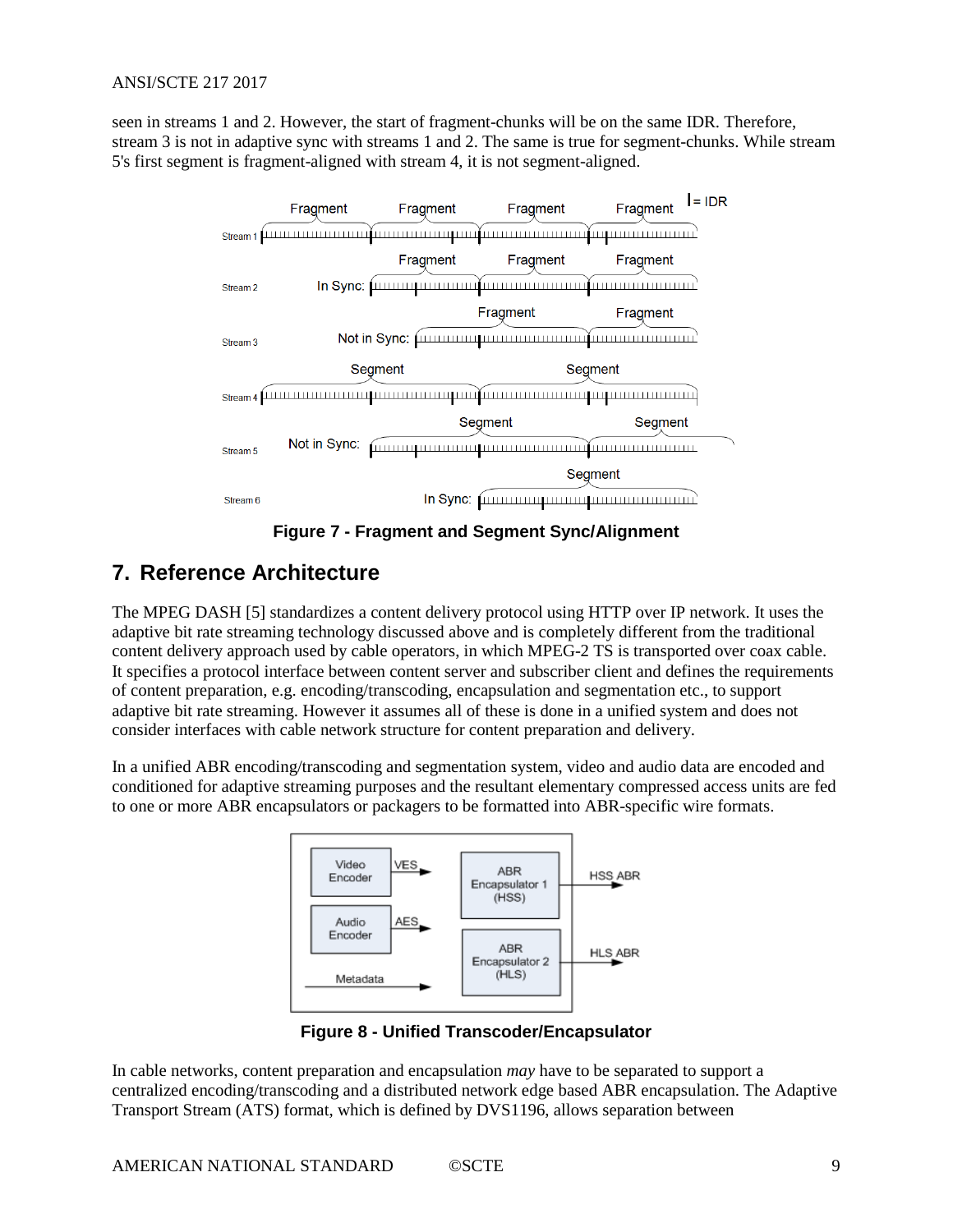seen in streams 1 and 2. However, the start of fragment-chunks will be on the same IDR. Therefore, stream 3 is not in adaptive sync with streams 1 and 2. The same is true for segment-chunks. While stream 5's first segment is fragment-aligned with stream 4, it is not segment-aligned.



**Figure 7 - Fragment and Segment Sync/Alignment**

## <span id="page-8-1"></span><span id="page-8-0"></span>**7. Reference Architecture**

The MPEG DASH [\[5\]](#page-3-7) standardizes a content delivery protocol using HTTP over IP network. It uses the adaptive bit rate streaming technology discussed above and is completely different from the traditional content delivery approach used by cable operators, in which MPEG-2 TS is transported over coax cable. It specifies a protocol interface between content server and subscriber client and defines the requirements of content preparation, e.g. encoding/transcoding, encapsulation and segmentation etc., to support adaptive bit rate streaming. However it assumes all of these is done in a unified system and does not consider interfaces with cable network structure for content preparation and delivery.

In a unified ABR encoding/transcoding and segmentation system, video and audio data are encoded and conditioned for adaptive streaming purposes and the resultant elementary compressed access units are fed to one or more ABR encapsulators or packagers to be formatted into ABR-specific wire formats.



**Figure 8 - Unified Transcoder/Encapsulator**

<span id="page-8-2"></span>In cable networks, content preparation and encapsulation *may* have to be separated to support a centralized encoding/transcoding and a distributed network edge based ABR encapsulation. The Adaptive Transport Stream (ATS) format, which is defined by DVS1196, allows separation between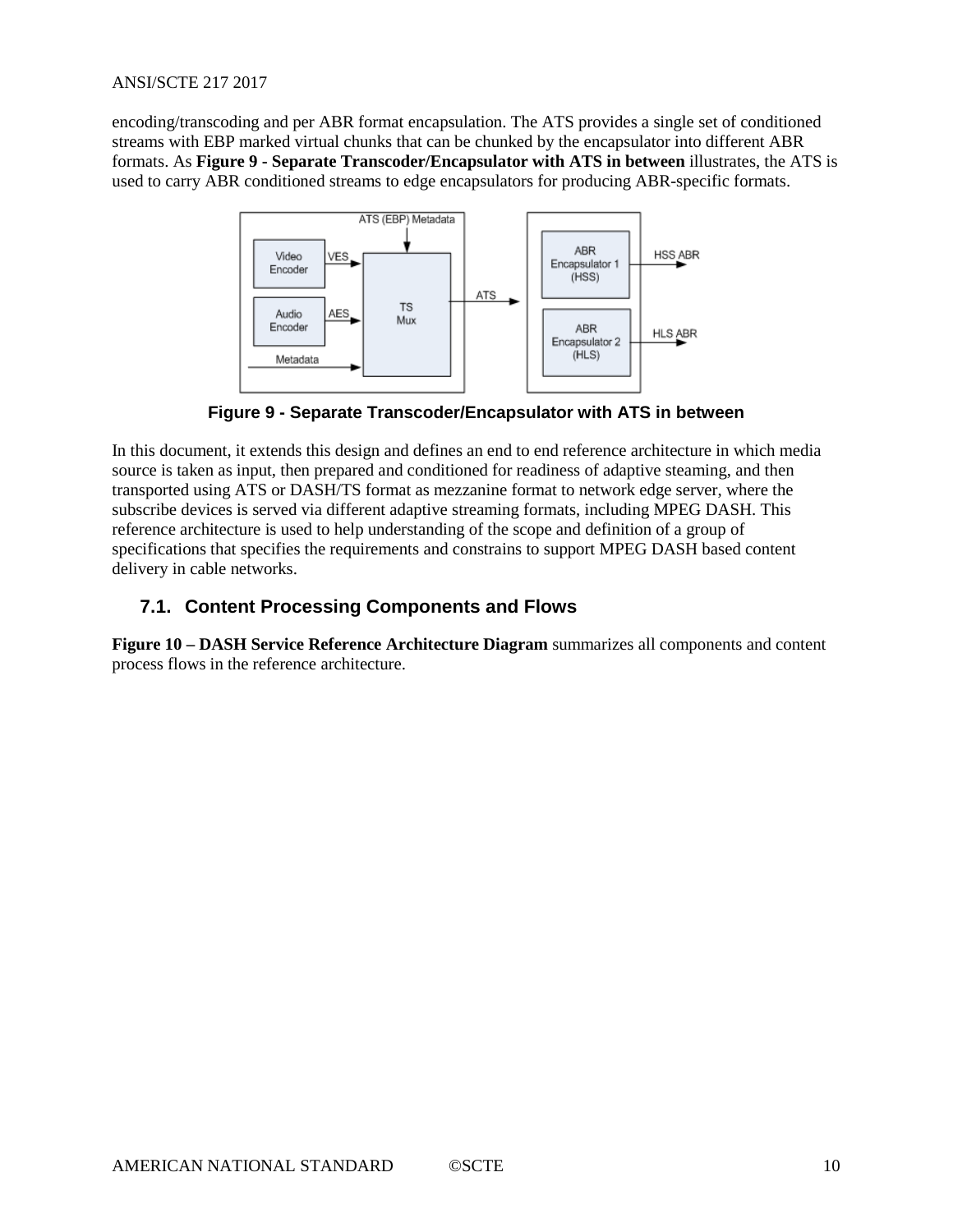#### ANSI/SCTE 217 2017

encoding/transcoding and per ABR format encapsulation. The ATS provides a single set of conditioned streams with EBP marked virtual chunks that can be chunked by the encapsulator into different ABR formats. As **Figure 9 - [Separate Transcoder/Encapsulator with ATS in between](#page-9-1)** illustrates, the ATS is used to carry ABR conditioned streams to edge encapsulators for producing ABR-specific formats.



**Figure 9 - Separate Transcoder/Encapsulator with ATS in between**

<span id="page-9-1"></span>In this document, it extends this design and defines an end to end reference architecture in which media source is taken as input, then prepared and conditioned for readiness of adaptive steaming, and then transported using ATS or DASH/TS format as mezzanine format to network edge server, where the subscribe devices is served via different adaptive streaming formats, including MPEG DASH. This reference architecture is used to help understanding of the scope and definition of a group of specifications that specifies the requirements and constrains to support MPEG DASH based content delivery in cable networks.

### <span id="page-9-0"></span>**7.1. Content Processing Components and Flows**

**Figure 10 – [DASH Service Reference Architecture Diagram](#page-10-0)** summarizes all components and content process flows in the reference architecture.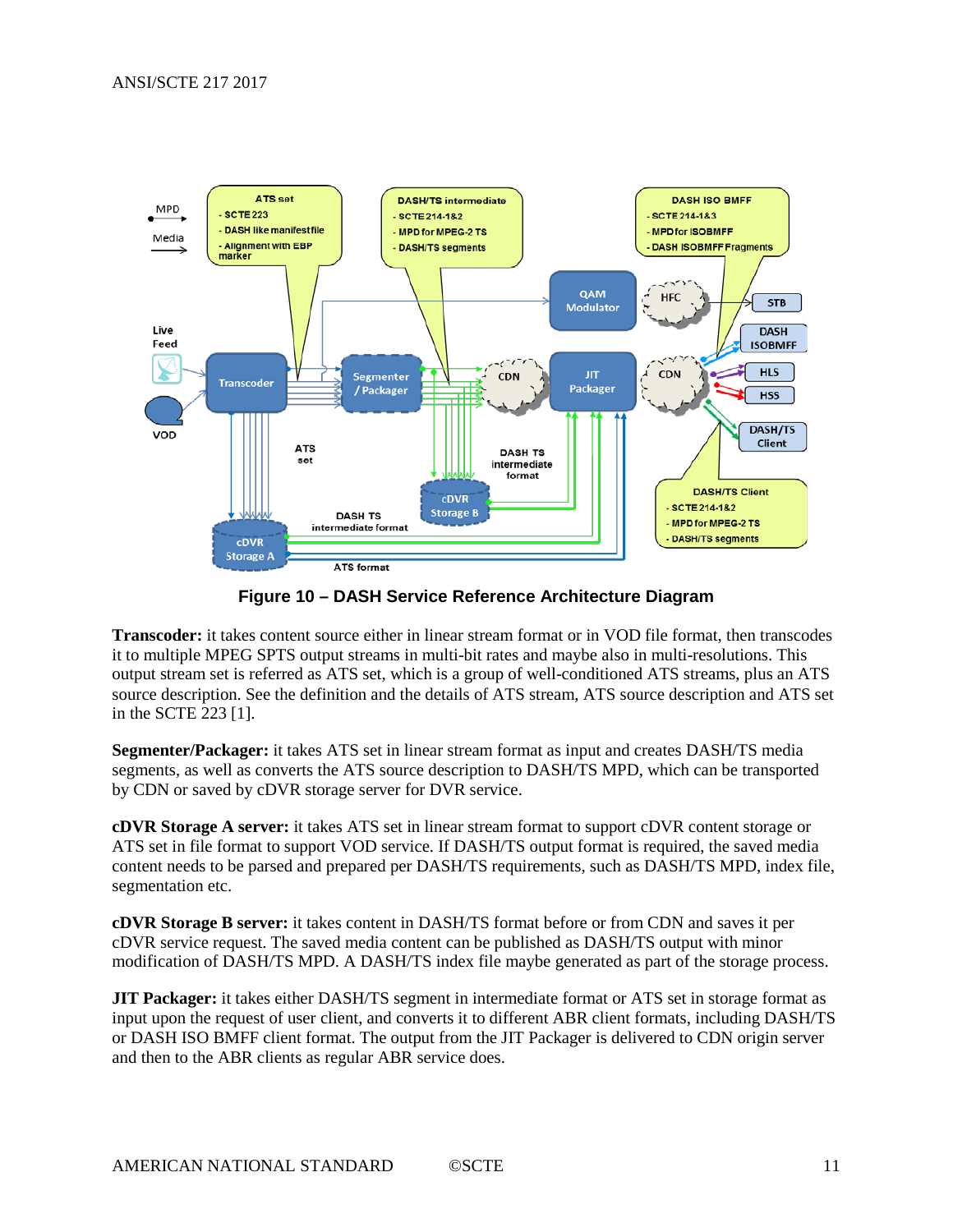

**Figure 10 – DASH Service Reference Architecture Diagram**

<span id="page-10-0"></span>**Transcoder:** it takes content source either in linear stream format or in VOD file format, then transcodes it to multiple MPEG SPTS output streams in multi-bit rates and maybe also in multi-resolutions. This output stream set is referred as ATS set, which is a group of well-conditioned ATS streams, plus an ATS source description. See the definition and the details of ATS stream, ATS source description and ATS set in the SCTE 223 [\[1\].](#page-3-8)

**Segmenter/Packager:** it takes ATS set in linear stream format as input and creates DASH/TS media segments, as well as converts the ATS source description to DASH/TS MPD, which can be transported by CDN or saved by cDVR storage server for DVR service.

**cDVR Storage A server:** it takes ATS set in linear stream format to support cDVR content storage or ATS set in file format to support VOD service. If DASH/TS output format is required, the saved media content needs to be parsed and prepared per DASH/TS requirements, such as DASH/TS MPD, index file, segmentation etc.

**cDVR Storage B server:** it takes content in DASH/TS format before or from CDN and saves it per cDVR service request. The saved media content can be published as DASH/TS output with minor modification of DASH/TS MPD. A DASH/TS index file maybe generated as part of the storage process.

**JIT Packager:** it takes either DASH/TS segment in intermediate format or ATS set in storage format as input upon the request of user client, and converts it to different ABR client formats, including DASH/TS or DASH ISO BMFF client format. The output from the JIT Packager is delivered to CDN origin server and then to the ABR clients as regular ABR service does.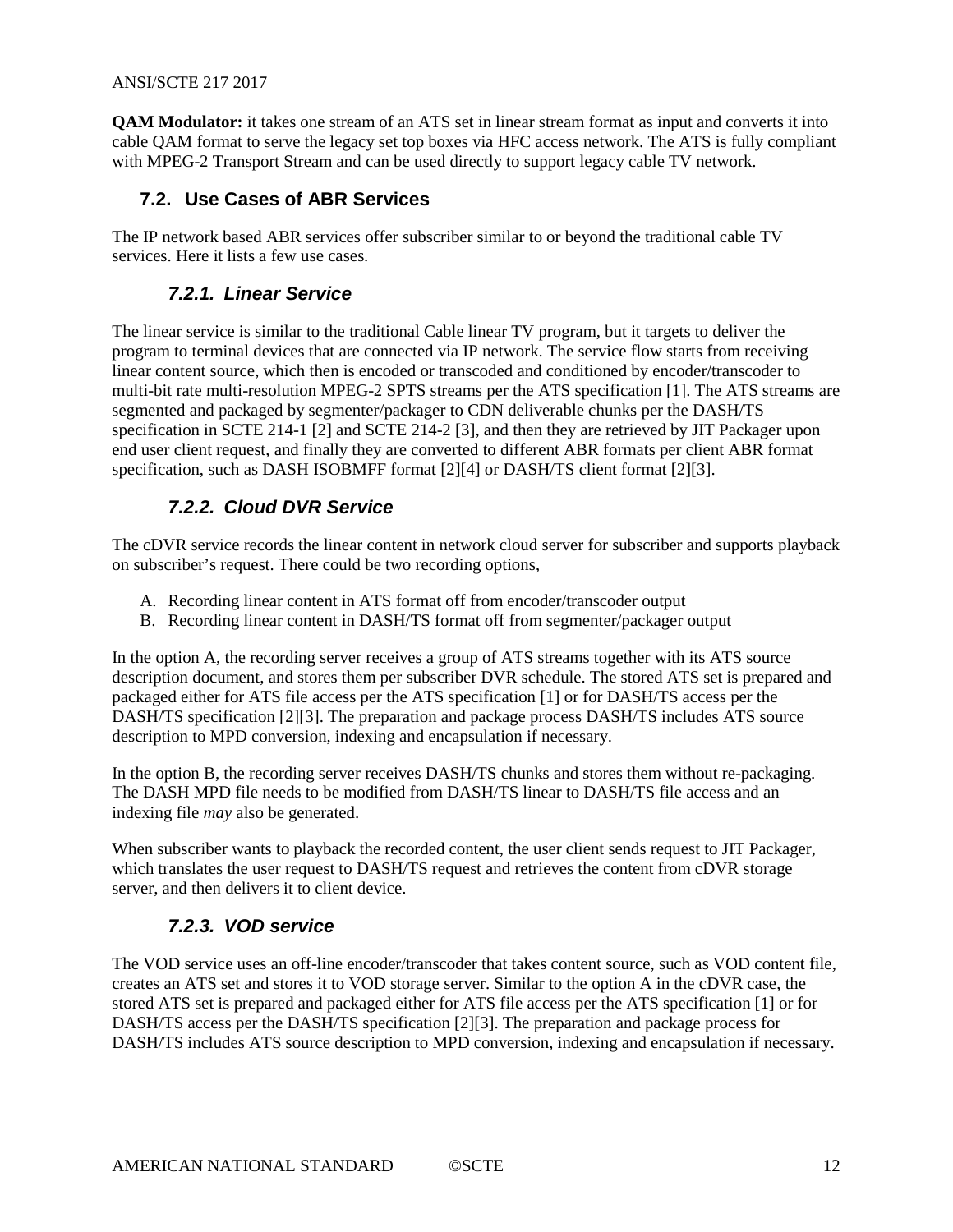#### ANSI/SCTE 217 2017

**QAM Modulator:** it takes one stream of an ATS set in linear stream format as input and converts it into cable QAM format to serve the legacy set top boxes via HFC access network. The ATS is fully compliant with MPEG-2 Transport Stream and can be used directly to support legacy cable TV network.

### <span id="page-11-0"></span>**7.2. Use Cases of ABR Services**

<span id="page-11-1"></span>The IP network based ABR services offer subscriber similar to or beyond the traditional cable TV services. Here it lists a few use cases.

#### *7.2.1. Linear Service*

The linear service is similar to the traditional Cable linear TV program, but it targets to deliver the program to terminal devices that are connected via IP network. The service flow starts from receiving linear content source, which then is encoded or transcoded and conditioned by encoder/transcoder to multi-bit rate multi-resolution MPEG-2 SPTS streams per the ATS specification [\[1\].](#page-3-8) The ATS streams are segmented and packaged by segmenter/packager to CDN deliverable chunks per the DASH/TS specification in SCTE 214-1 [\[2\]](#page-3-9) and SCTE 214-2 [\[3\],](#page-3-10) and then they are retrieved by JIT Packager upon end user client request, and finally they are converted to different ABR formats per client ABR format specification, such as DASH ISOBMFF format [\[2\]\[4\]](#page-3-9) or DASH/TS client format [\[2\]\[3\].](#page-3-9)

### *7.2.2. Cloud DVR Service*

<span id="page-11-2"></span>The cDVR service records the linear content in network cloud server for subscriber and supports playback on subscriber's request. There could be two recording options,

- A. Recording linear content in ATS format off from encoder/transcoder output
- B. Recording linear content in DASH/TS format off from segmenter/packager output

In the option A, the recording server receives a group of ATS streams together with its ATS source description document, and stores them per subscriber DVR schedule. The stored ATS set is prepared and packaged either for ATS file access per the ATS specification [\[1\]](#page-3-8) or for DASH/TS access per the DASH/TS specification [\[2\]\[3\].](#page-3-9) The preparation and package process DASH/TS includes ATS source description to MPD conversion, indexing and encapsulation if necessary.

In the option B, the recording server receives DASH/TS chunks and stores them without re-packaging. The DASH MPD file needs to be modified from DASH/TS linear to DASH/TS file access and an indexing file *may* also be generated.

When subscriber wants to playback the recorded content, the user client sends request to JIT Packager, which translates the user request to DASH/TS request and retrieves the content from cDVR storage server, and then delivers it to client device.

#### *7.2.3. VOD service*

<span id="page-11-3"></span>The VOD service uses an off-line encoder/transcoder that takes content source, such as VOD content file, creates an ATS set and stores it to VOD storage server. Similar to the option A in the cDVR case, the stored ATS set is prepared and packaged either for ATS file access per the ATS specification [\[1\]](#page-3-8) or for DASH/TS access per the DASH/TS specification [\[2\]\[3\].](#page-3-9) The preparation and package process for DASH/TS includes ATS source description to MPD conversion, indexing and encapsulation if necessary.